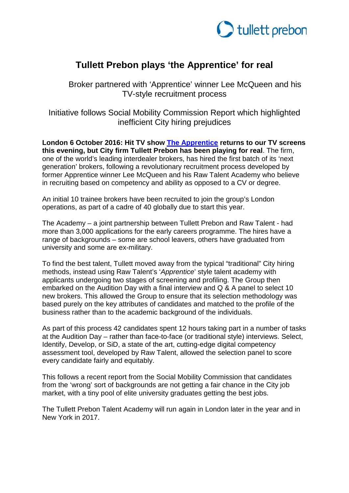

# **Tullett Prebon plays 'the Apprentice' for real**

Broker partnered with 'Apprentice' winner Lee McQueen and his TV-style recruitment process

Initiative follows Social Mobility Commission Report which highlighted inefficient City hiring prejudices

**London 6 October 2016: Hit TV show [The Apprentice](http://www.bbc.co.uk/programmes/b0071b63) returns to our TV screens this evening, but City firm Tullett Prebon has been playing for real**. The firm, one of the world's leading interdealer brokers, has hired the first batch of its 'next generation' brokers, following a revolutionary recruitment process developed by former Apprentice winner Lee McQueen and his Raw Talent Academy who believe in recruiting based on competency and ability as opposed to a CV or degree.

An initial 10 trainee brokers have been recruited to join the group's London operations, as part of a cadre of 40 globally due to start this year.

The Academy – a joint partnership between Tullett Prebon and Raw Talent - had more than 3,000 applications for the early careers programme. The hires have a range of backgrounds – some are school leavers, others have graduated from university and some are ex-military.

To find the best talent, Tullett moved away from the typical "traditional" City hiring methods, instead using Raw Talent's '*Apprentice*' style talent academy with applicants undergoing two stages of screening and profiling. The Group then embarked on the Audition Day with a final interview and Q & A panel to select 10 new brokers. This allowed the Group to ensure that its selection methodology was based purely on the key attributes of candidates and matched to the profile of the business rather than to the academic background of the individuals.

As part of this process 42 candidates spent 12 hours taking part in a number of tasks at the Audition Day – rather than face-to-face (or traditional style) interviews. Select, Identify, Develop, or SiD, a state of the art, cutting-edge digital competency assessment tool, developed by Raw Talent, allowed the selection panel to score every candidate fairly and equitably.

This follows a recent report from the Social Mobility Commission that candidates from the 'wrong' sort of backgrounds are not getting a fair chance in the City job market, with a tiny pool of elite university graduates getting the best jobs.

The Tullett Prebon Talent Academy will run again in London later in the year and in New York in 2017.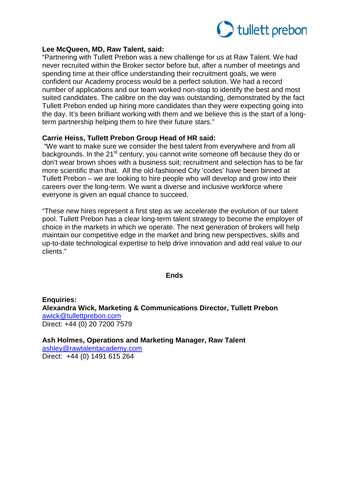

## **Lee McQueen, MD, Raw Talent, said:**

"Partnering with Tullett Prebon was a new challenge for us at Raw Talent. We had never recruited within the Broker sector before but, after a number of meetings and spending time at their office understanding their recruitment goals, we were confident our Academy process would be a perfect solution. We had a record number of applications and our team worked non-stop to identify the best and most suited candidates. The calibre on the day was outstanding, demonstrated by the fact Tullett Prebon ended up hiring more candidates than they were expecting going into the day. It's been brilliant working with them and we believe this is the start of a longterm partnership helping them to hire their future stars."

# **Carrie Heiss, Tullett Prebon Group Head of HR said:**

"We want to make sure we consider the best talent from everywhere and from all backgrounds. In the 21<sup>st</sup> century, you cannot write someone off because they do or don't wear brown shoes with a business suit; recruitment and selection has to be far more scientific than that. All the old-fashioned City 'codes' have been binned at Tullett Prebon – we are looking to hire people who will develop and grow into their careers over the long-term. We want a diverse and inclusive workforce where everyone is given an equal chance to succeed.

"These new hires represent a first step as we accelerate the evolution of our talent pool. Tullett Prebon has a clear long-term talent strategy to become the employer of choice in the markets in which we operate. The next generation of brokers will help maintain our competitive edge in the market and bring new perspectives, skills and up-to-date technological expertise to help drive innovation and add real value to our clients."

#### **Ends**

**Enquiries: Alexandra Wick, Marketing & Communications Director, Tullett Prebon** [awick@tullettprebon.com](mailto:awick@tullettprebon.com) Direct: +44 (0) 20 7200 7579

**Ash Holmes, Operations and Marketing Manager, Raw Talent** [ashley@rawtalentacademy.com](mailto:ashley@rawtalentacademy.com) Direct: +44 (0) 1491 615 264